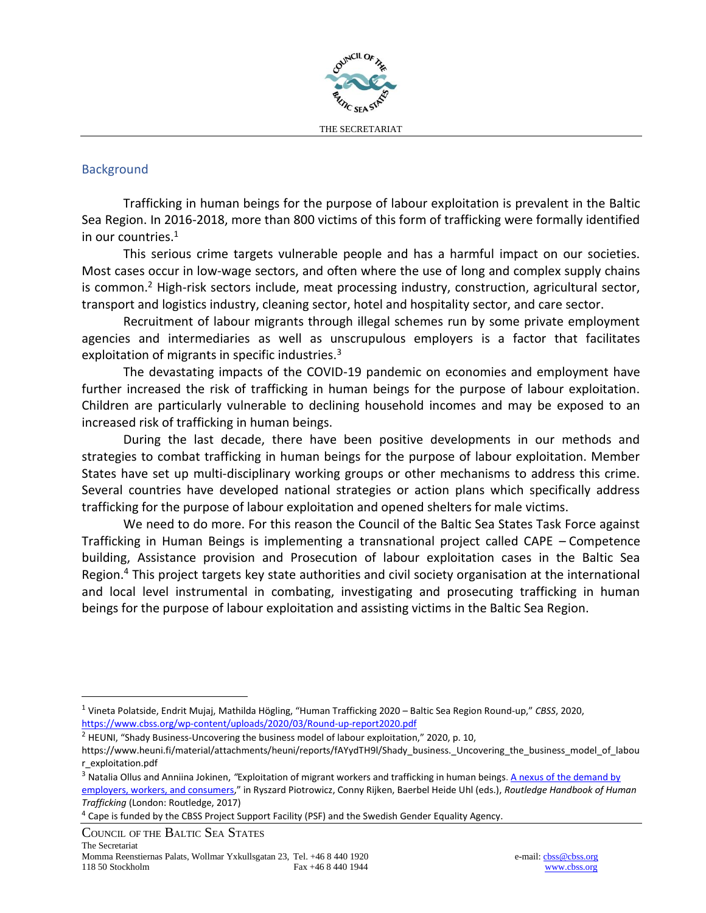

## **Background**

Trafficking in human beings for the purpose of labour exploitation is prevalent in the Baltic Sea Region. In 2016-2018, more than 800 victims of this form of trafficking were formally identified in our countries.<sup>1</sup>

This serious crime targets vulnerable people and has a harmful impact on our societies. Most cases occur in low-wage sectors, and often where the use of long and complex supply chains is common.<sup>2</sup> High-risk sectors include, meat processing industry, construction, agricultural sector, transport and logistics industry, cleaning sector, hotel and hospitality sector, and care sector.

Recruitment of labour migrants through illegal schemes run by some private employment agencies and intermediaries as well as unscrupulous employers is a factor that facilitates exploitation of migrants in specific industries.<sup>3</sup>

The devastating impacts of the COVID-19 pandemic on economies and employment have further increased the risk of trafficking in human beings for the purpose of labour exploitation. Children are particularly vulnerable to declining household incomes and may be exposed to an increased risk of trafficking in human beings.

During the last decade, there have been positive developments in our methods and strategies to combat trafficking in human beings for the purpose of labour exploitation. Member States have set up multi-disciplinary working groups or other mechanisms to address this crime. Several countries have developed national strategies or action plans which specifically address trafficking for the purpose of labour exploitation and opened shelters for male victims.

We need to do more. For this reason the Council of the Baltic Sea States Task Force against Trafficking in Human Beings is implementing a transnational project called CAPE – Competence building, Assistance provision and Prosecution of labour exploitation cases in the Baltic Sea Region.<sup>4</sup> This project targets key state authorities and civil society organisation at the international and local level instrumental in combating, investigating and prosecuting trafficking in human beings for the purpose of labour exploitation and assisting victims in the Baltic Sea Region.

COUNCIL OF THE BALTIC SEA STATES

<sup>1</sup> Vineta Polatside, Endrit Mujaj, Mathilda Högling, "Human Trafficking 2020 – Baltic Sea Region Round-up," *CBSS*, 2020, <https://www.cbss.org/wp-content/uploads/2020/03/Round-up-report2020.pdf>

<sup>&</sup>lt;sup>2</sup> HEUNI, "Shady Business-Uncovering the business model of labour exploitation," 2020, p. 10,

https://www.heuni.fi/material/attachments/heuni/reports/fAYydTH9l/Shady\_business.\_Uncovering\_the\_business\_model\_of\_labou r\_exploitation.pdf

<sup>&</sup>lt;sup>3</sup> Natalia Ollus and Anniina Jokinen, "Exploitation of migrant workers and trafficking in human beings. A nexus of the demand by [employers, workers, and consumers](https://jigsaw.vitalsource.com/books/9781317485681/epub/OEBPS/xhtml/content.xhtml#bck_Ch037)," in Ryszard Piotrowicz, Conny Rijken, Baerbel Heide Uhl (eds.), *Routledge Handbook of Human Trafficking* (London: Routledge, 2017)

<sup>4</sup> Cape is funded by the CBSS Project Support Facility (PSF) and the Swedish Gender Equality Agency.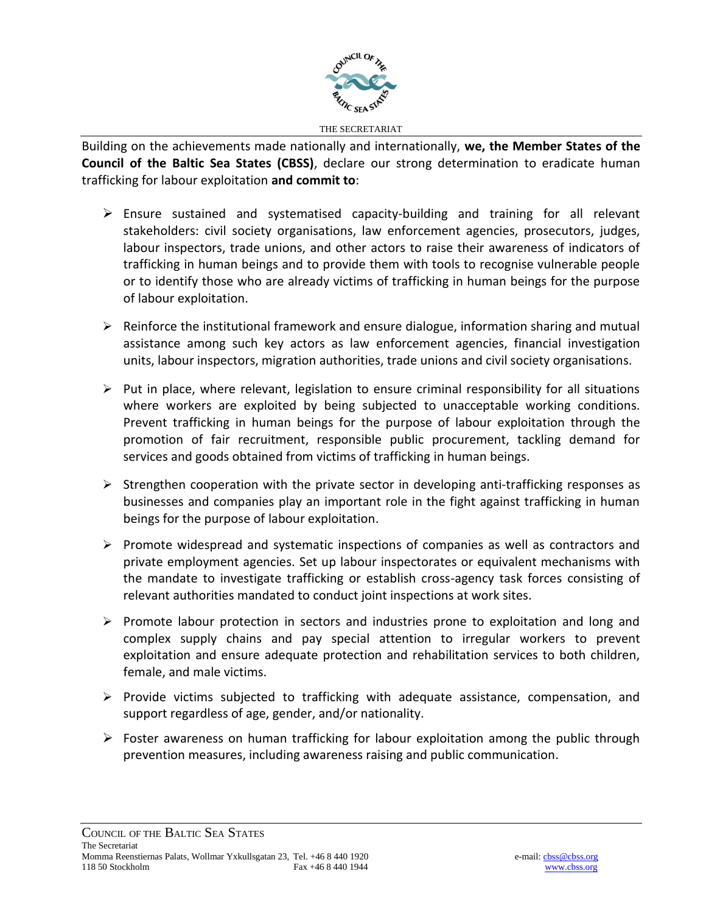

Building on the achievements made nationally and internationally, **we, the Member States of the Council of the Baltic Sea States (CBSS)**, declare our strong determination to eradicate human trafficking for labour exploitation **and commit to**:

- $\triangleright$  Ensure sustained and systematised capacity-building and training for all relevant stakeholders: civil society organisations, law enforcement agencies, prosecutors, judges, labour inspectors, trade unions, and other actors to raise their awareness of indicators of trafficking in human beings and to provide them with tools to recognise vulnerable people or to identify those who are already victims of trafficking in human beings for the purpose of labour exploitation.
- ➢ Reinforce the institutional framework and ensure dialogue, information sharing and mutual assistance among such key actors as law enforcement agencies, financial investigation units, labour inspectors, migration authorities, trade unions and civil society organisations.
- $\triangleright$  Put in place, where relevant, legislation to ensure criminal responsibility for all situations where workers are exploited by being subjected to unacceptable working conditions. Prevent trafficking in human beings for the purpose of labour exploitation through the promotion of fair recruitment, responsible public procurement, tackling demand for services and goods obtained from victims of trafficking in human beings.
- $\triangleright$  Strengthen cooperation with the private sector in developing anti-trafficking responses as businesses and companies play an important role in the fight against trafficking in human beings for the purpose of labour exploitation.
- ➢ Promote widespread and systematic inspections of companies as well as contractors and private employment agencies. Set up labour inspectorates or equivalent mechanisms with the mandate to investigate trafficking or establish cross-agency task forces consisting of relevant authorities mandated to conduct joint inspections at work sites.
- ➢ Promote labour protection in sectors and industries prone to exploitation and long and complex supply chains and pay special attention to irregular workers to prevent exploitation and ensure adequate protection and rehabilitation services to both children, female, and male victims.
- ➢ Provide victims subjected to trafficking with adequate assistance, compensation, and support regardless of age, gender, and/or nationality.
- $\triangleright$  Foster awareness on human trafficking for labour exploitation among the public through prevention measures, including awareness raising and public communication.